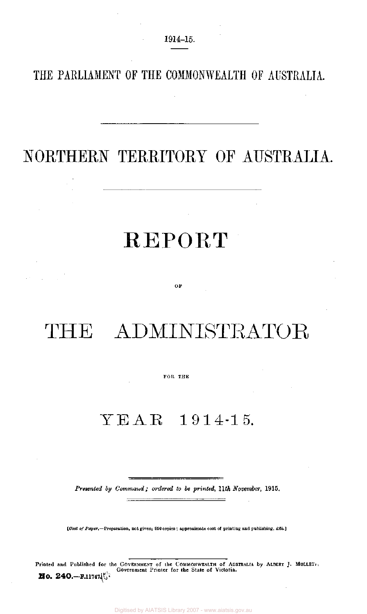### **THE PARLIAMENT OF THE COMMONWEALTH OF AUSTRALIA.**

## NORTHERN TERRITORY OF AUSTRALIA.

# REPORT

OF

# THE ADMINISTRATOR

### FOB THE

## YEAR 1914-15.

*Presented by Command; ordered to be printed, 11th November,* 1915.

*{Cost of Paper.*—Preparation, not given; 950 copies ; approximate cost of printing and publishing, £65.]

Printed and Published for the GOVERNMENT of the COMMONWEALTH of AUSTRALIA by ALBERT J. MULLET. Government Printer for the State of Victoria. **No. 240.**— $F.11747\sqrt[3]{3}$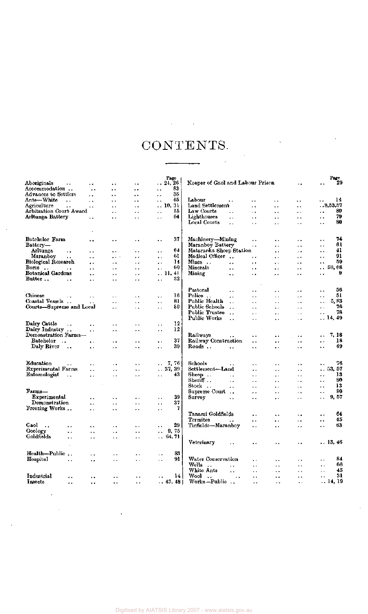# CONTENTS.

 $\mathcal{L}^{\mathcal{L}}(\mathcal{A})$  is a subset of  $\mathcal{L}^{\mathcal{L}}(\mathcal{A})$  , and

|                                      |                      |                      |                        | Page                           |                                                                                                |                      | Page                       |
|--------------------------------------|----------------------|----------------------|------------------------|--------------------------------|------------------------------------------------------------------------------------------------|----------------------|----------------------------|
| Aboriginals<br>$\ddotsc$             | $\ddot{\phantom{1}}$ | $\ddot{\phantom{1}}$ | $\sim$                 | 24, 26<br>$\ddot{\phantom{0}}$ | Keeper of Gaol and Labour Prison                                                               | ٠.                   | 29                         |
| Accommodation                        | $\ddot{\phantom{0}}$ | $\ddot{\phantom{1}}$ | $\ddot{\phantom{1}}$   | 83<br>$\ddotsc$                |                                                                                                |                      |                            |
| Advances to Settlers                 |                      | $\ddot{\phantom{1}}$ | $\ddot{\phantom{1}}$   | 35<br>$\ddotsc$                |                                                                                                |                      |                            |
| Ants—White<br>$\ddot{\phantom{a}}$   | . .                  | ٠.                   | $\ddot{\phantom{1}}$   | 45<br>х.                       | Labour<br>х.                                                                                   | $\ddot{\phantom{0}}$ | 14                         |
| Agriculture<br>$\ddot{\phantom{1}}$  | $\ddot{\phantom{1}}$ | ٠.                   | $\ddot{\phantom{0}}$   | 10, 31<br>$\ddot{\phantom{0}}$ | Land Settiement<br>$\ddot{\phantom{a}}$<br>$\ddot{\phantom{0}}$                                | ٠.                   | 8,53,57                    |
| Arbitration Court Award              |                      | . .                  | $\bullet$ .            | 15<br>$\ddot{\phantom{1}}$     | Law Courts<br>$\ddot{\phantom{1}}$<br>٠.<br>٠.                                                 | ٠.                   | 80<br>٠.                   |
| Arltunga Battery                     | $\ddot{\phantom{1}}$ | ٠.                   | $\ddot{\phantom{1}}$ . | 64<br>$\ddot{\phantom{1}}$     | Lighthouses<br>$\ddot{\phantom{0}}$<br>$\ddot{\phantom{1}}$<br>$\ddot{\phantom{1}}$            | ٠.                   | 79<br>$\ddot{\phantom{1}}$ |
|                                      |                      |                      |                        |                                | Local Courts<br>$\ddot{\phantom{0}}$<br>$\ddot{\phantom{1}}$<br>$\ddot{\phantom{0}}$           | . .                  | 80<br>$\ddot{\phantom{0}}$ |
|                                      |                      |                      |                        |                                |                                                                                                |                      |                            |
|                                      |                      |                      |                        |                                |                                                                                                |                      |                            |
| Batchelor Farm                       | ٠.                   | . .                  | . .                    | 37<br>$\ddot{\phantom{1}}$     | Machinery--Mining<br>$\ddot{\phantom{0}}$<br>. .                                               | $\ddot{\phantom{1}}$ | 74<br>$\ddot{\phantom{1}}$ |
| Battery-                             |                      |                      |                        |                                | Maranboy Battery<br>$\ddot{\phantom{0}}$<br>$\ddot{\phantom{1}}$                               | $\ddot{\phantom{1}}$ | 61<br>$\ddot{\phantom{1}}$ |
| Aritunga<br>                         | $\ddot{\phantom{1}}$ | . .                  | . .                    | 64<br>$\ddot{\phantom{0}}$     | Mataranka Sheep Station<br>$\ddot{\phantom{0}}$                                                | . .                  | 41<br>٠.                   |
| Maranboy<br>$\ddotsc$                | $\ddot{\phantom{1}}$ | $\cdots$             | $\ddot{\phantom{a}}$   | 61<br>$\ddot{\phantom{1}}$     | Medical Officer<br>$\ddot{\phantom{0}}$<br>. .                                                 | ٠.                   | 91<br>$\ddot{\phantom{1}}$ |
| Biological Research                  |                      | $\ddot{\phantom{0}}$ | $\ddot{\phantom{0}}$   | 14                             | Mines<br>$\ddot{\phantom{0}}$<br>$\ddot{\phantom{1}}$                                          |                      | 59<br>$\ddot{\phantom{1}}$ |
| Bores.                               |                      |                      |                        | $\ddot{\phantom{0}}$<br>60     | $\ddot{\phantom{1}}$<br>Minorals                                                               | ٠.                   | .59,68                     |
| $\ddotsc$                            | $\ddot{\phantom{1}}$ | $\cdot$ $\cdot$      | $\ddot{\phantom{0}}$   | . .                            | $\ddot{\phantom{a}}$<br>$\ddot{\phantom{1}}$<br>٠.                                             | . .                  |                            |
| Botanical Gardens                    | $\ddot{\phantom{0}}$ | $\ddot{\phantom{0}}$ | $\ddot{\phantom{1}}$   | 11, 41                         | Mining<br>$\ddot{\phantom{1}}$<br>$\ddot{\phantom{0}}$<br>$\ddot{\phantom{1}}$                 | . .                  | 9<br>. .                   |
| Butter<br>$\ddot{\phantom{1}}$       | $\ddot{\phantom{1}}$ | . .                  | . .                    | 32<br>$\ddot{\phantom{1}}$     |                                                                                                |                      |                            |
|                                      |                      |                      |                        |                                | Pastoral<br>$\ddot{\phantom{1}}$                                                               |                      | 56<br>$\ddot{\phantom{0}}$ |
| Chinese                              |                      |                      |                        | 16                             | $\ddot{\phantom{0}}$<br>. .<br>Police                                                          | ٠.                   | 51                         |
|                                      | $\ddot{\phantom{0}}$ | μ.                   | $\ddot{\phantom{1}}$   | ٠.                             | ٠,<br>. .<br>$\ddot{\phantom{1}}$                                                              | $\ddot{\phantom{1}}$ | $\ddot{\phantom{1}}$       |
| Coastal Vessels                      | $\ddot{\phantom{0}}$ | ٠.                   | $\ddot{\phantom{1}}$   | 81<br>٠.                       | Public Health<br>$\ddotsc$<br>$\ddot{\phantom{1}}$<br>$\ddot{\phantom{a}}$                     | $\ddot{\phantom{1}}$ | 5,83<br>. .                |
| Courts-Supreme and Local             |                      | $\ddot{\phantom{1}}$ | $\ddot{\phantom{1}}$   | 80<br>$\ddot{\phantom{1}}$     | Public Schools<br>$\sim$ .<br>$\ddot{\phantom{1}}$<br>$\ddot{\phantom{1}}$                     | . .                  | 76<br>$\sim$ .             |
|                                      |                      |                      |                        |                                | Public Trustee<br>$\ddot{\phantom{a}}$<br>μ.<br>. .                                            | . .                  | 78<br>$\ddot{\phantom{a}}$ |
|                                      |                      |                      |                        |                                | Public Works<br>$\ddot{\phantom{a}}$<br>г.<br>. .                                              | ٠.                   | $\ldots$ 14, 49            |
| Dairy Cattle<br>$\ddot{\phantom{0}}$ | $\ddot{\phantom{a}}$ | $\ddot{\phantom{a}}$ | $\ddot{\phantom{1}}$   | 12<br>$\ddot{\phantom{1}}$     |                                                                                                |                      |                            |
| Dairy Industry                       | $\ddot{\phantom{1}}$ | ٠,                   | ٠.                     | 12<br>$\ddot{\phantom{1}}$     |                                                                                                |                      |                            |
| Demonstration Farms--                |                      |                      |                        |                                | Railways<br>$\ddot{\phantom{1}}$<br>$\ddot{\phantom{1}}$<br>٠.                                 | $\ddot{\phantom{1}}$ | 7, 18<br>k v               |
| <b>Batchelor</b><br>$\sim$ 4.40      | $\ddot{\phantom{1}}$ | ٠.                   | $\ddot{\phantom{1}}$   | 37<br>$\ddot{\phantom{1}}$     | Railway Construction<br>$\ddot{\phantom{1}}$<br>٠.                                             | $\ddot{\phantom{1}}$ | 18<br>μ.                   |
| Daly River<br>$\ddot{\phantom{0}}$   | $\ddot{\phantom{1}}$ | $\ddot{\phantom{1}}$ | ٠.                     | 39<br>$\ddot{\phantom{1}}$     | Roads<br>$\epsilon$ .<br>$\ddot{\phantom{1}}$<br>. .                                           | . .                  | 49<br>$\ddot{\phantom{1}}$ |
|                                      |                      |                      |                        |                                |                                                                                                |                      |                            |
|                                      |                      |                      |                        |                                |                                                                                                |                      |                            |
| Education<br>$\ddot{\phantom{1}}$    | ٠.                   | $\ddot{\phantom{1}}$ | ٠.                     | -7, 76<br>$\ddotsc$            | Schools<br>. .<br>$\ddot{\phantom{1}}$                                                         | ٠.                   | 76<br>٠.                   |
| Experimental Farms                   | н.                   | . .                  | $\ddot{\phantom{1}}$   | .37,39                         | Settlement-Land<br>$\ddot{\phantom{1}}$<br>. .                                                 | ٠.                   | 53, 57<br>. .              |
| Entomologist<br>$\ddot{\phantom{0}}$ | $\ddot{\phantom{a}}$ | $\ddot{\phantom{1}}$ | . .                    | 43<br>$\ddot{\phantom{1}}$     | Sheep<br>$\ddotsc$<br>$\ddot{\phantom{0}}$<br>. .                                              | $\ddot{\phantom{1}}$ | 13<br>$\ddot{\phantom{0}}$ |
|                                      |                      |                      |                        |                                | Sberiff<br>$\ddot{\phantom{0}}$<br>$\ddot{\phantom{1}}$<br>. .                                 | ٠.                   | 80<br>$\ddot{\phantom{0}}$ |
|                                      |                      |                      |                        |                                | Stock<br>$\epsilon$ .<br>$\ddot{\phantom{a}}$<br>$\ddot{\phantom{a}}$                          |                      | 13<br>$\ddot{\phantom{0}}$ |
| Farms-                               |                      |                      |                        |                                | Supreme Court<br>$\rightarrow \rightarrow$<br>٠.<br>$\ddot{\phantom{0}}$                       | . .                  | 80<br>$\sim$               |
| Experimental                         |                      |                      |                        | 39                             | Survey<br>$\ddot{\phantom{1}}$                                                                 | . .                  | 9, 57                      |
| Demonstration                        | $\ddot{\phantom{1}}$ | $\ddot{\phantom{1}}$ | $\ddot{\phantom{1}}$   | $\ddot{\phantom{1}}$<br>37     | ٠.<br>ь.                                                                                       |                      |                            |
| Freezing Works                       | $\ddot{\phantom{0}}$ | $\ddot{\phantom{0}}$ | $\ddotsc$              | $\ddot{\phantom{1}}$<br>7      |                                                                                                |                      |                            |
|                                      | ٠.                   | $\ddot{\phantom{1}}$ | $\ddot{\phantom{1}}$   | $\ddot{\phantom{1}}$           |                                                                                                |                      |                            |
|                                      |                      |                      |                        |                                | Tanami Goldfields<br>. .<br>$\ddot{\phantom{1}}$                                               | ٠.                   | 64<br>. .                  |
|                                      |                      |                      |                        |                                | Termites<br>$\ddot{\phantom{0}}$<br>$\ddot{\phantom{1}}$                                       | ٠.                   | 45<br>$\ddot{\phantom{1}}$ |
| Gaol<br>$\ddotsc$<br>.,              | ٠.                   | . .                  | ٠.                     | 29<br>$\ddot{\phantom{1}}$     | Tinfields-Maranboy<br>٠.<br>$\ddot{\phantom{1}}$                                               | $\ddot{\phantom{1}}$ | 63<br>$\ddotsc$            |
| Geology<br>$\ddot{\phantom{1}}$      | ٠.                   | $\ddot{\phantom{1}}$ | $\ddot{\phantom{a}}$   | 9,75<br>٠.                     |                                                                                                |                      |                            |
| Goldfields<br>٠.                     | н.                   | . .                  | $\ddot{\phantom{1}}$   | . 64, 71                       |                                                                                                |                      |                            |
| $\overline{1}$                       |                      |                      |                        |                                | Veterinary<br>$\ddot{\phantom{1}}$<br>$\ddot{\phantom{0}}$<br>٠.                               |                      | 13, 46                     |
|                                      |                      |                      |                        |                                |                                                                                                |                      |                            |
| Health-Public                        | ٠.                   |                      | $\ddot{\phantom{0}}$   | 83<br>$\ddot{\phantom{1}}$     |                                                                                                |                      |                            |
| Hospital<br>$\ddot{\phantom{0}}$     | ٠.                   | $\ddot{\phantom{1}}$ | $\ddot{\phantom{1}}$ , | 91<br>$\ddot{\phantom{0}}$     | Water Conservation<br>$\ddot{\phantom{a}}$<br>. .                                              | $\epsilon$ .         | 84<br>$\ddot{\phantom{1}}$ |
|                                      |                      |                      |                        |                                | Wells<br>$\rightarrow$<br>$\ddot{\phantom{0}}$<br>$\ddot{\phantom{0}}$<br>$\ddot{\phantom{0}}$ | $\ddot{\phantom{1}}$ | 66<br>٠.                   |
|                                      |                      |                      |                        |                                | White Ants<br>$\ddot{\phantom{a}}$<br>$\ddot{\phantom{1}}$<br>. .                              | $\ddot{\phantom{0}}$ | 45<br>. .                  |
| Industrial<br>. .                    | $\ddot{\phantom{0}}$ | $\ddot{\phantom{1}}$ | $\ddot{\phantom{1}}$   | 14<br>. .                      | Wool<br>$\ddots$<br>$\ddot{\phantom{1}}$<br>$\ddot{\phantom{1}}$<br>$\ddot{\phantom{1}}$ .     | ٠.                   | 31<br>٠٠                   |
| Insects<br>. .                       | ٠.                   | $\ddot{\phantom{a}}$ | $\ddot{\phantom{a}}$   | $\ldots$ 43, 48                | Works-Public<br>$\ddot{\phantom{0}}$<br>. .                                                    | τ.                   | . . 14, 19                 |
|                                      |                      |                      |                        |                                |                                                                                                |                      |                            |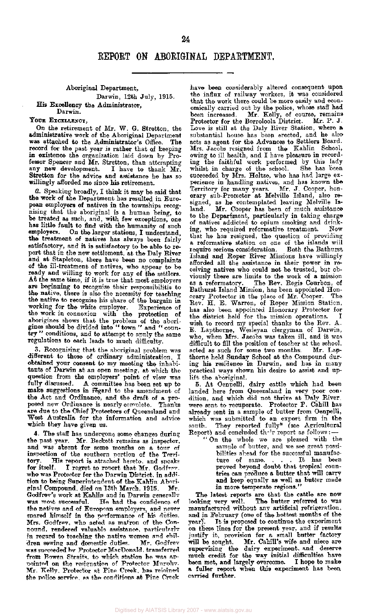### Aboriginal Department, Darwin, 12th July, 1915.

His Excellency the Administrator, Darwin.

### YOUR EXCELLENCY,

On the retirement of Mr. W. G. Stretton, the administrative work of the Aboriginal Department was attached to the Administrator's Office. The record for the past year is rather that of keeping in existence the organization laid down by Professor Spencer and Mr. Stretton, than attempting any new development. I have to thank Mr. any new development. Stretton for the advice and assistance he has so willingly afforded me since his retirement.

2. Speaking broadly, I think it may be said that the work of the Department has resulted in European employers of natives in the townships recognising that the aboriginal is a human being, to be treated as such, and, with few exceptions, one has little fault to find with the humanity of such employers. On the larger stations, I understand, the treatment of natives has always been fairly satisfactory, and it is satisfactory to be able to report that in the new settlement, at the Daly River and at Stapleton, there have been no complaints of the ill-treatment of natives, who appear to be ready and willing to work for any of the settlers. At the same time, if it is true that most employers are beginning to recognise their responsibilitis to the native, there is also the necessity for teaching the native to recognise his share of the bargain in working for the white employer. Experience of the work in connexion with the protection of aborigines shows that the problem of the aborigines should be divided into " town " and " country " conditions, and to attempt to apply the same regulations to each leads to much difficulty.

3. Recognising that the aboriginal problem was different to those of ordinary administration, I obtained your consent to my meeting the inhabitants of Darwin at an open meeting, at which the question from the employers' point of view was fully discussed. A committee has been set up to make suggestions in regard to the amendment of the Act and Ordinance, and the draft of a proposed new Ordinance is nearly complete. Thanks are due to the Chief Protectors of Queensland and West Australia for the information and advice which they have given us.

4. The staff has undergone some changes during the past year. Mr. Beckett remains as inspector, and was absent for some months on a tour of inspection of the southern portion of the Terri-<br>tory. His report is attached hereto, and speaks tory. His report is attached hereto, and speaks for itself. I regret to report that Mr. Godfrey. I regret to report that Mr. Godfrey. who was Protector for the Darwin District, in addition to being Superintendent of the Kahlin Aboriginal Compound, died on 13th March, 1915. Mr. Godfrey's work at Kahlin and in Darwin generally was most successful. He had the confidence of the natives and of European employers, and never spared himself in the performance of his duties. Mrs. Godfrey, who acted as matron of the Conpound, rendered valuable assistance, particularly in regard to teaching the native women and children sewing and domestic duties. Mr. Godfrey was succeeded by Protector MacDonald, transferred from Bowen Straits, to which station he was appointed on the resignation of Protector Murphy. Mr. Kelly, Protector at Pine Creek, has rejoined the police service, as the conditions at Pine Creek

have been considerably altered consequent upon the influx of railway workers, it was considered that the work there could be more easily and economically carried out by the police, whose staff had been increased. Mr. Kelly, of course, remains Protector for the Borroloola District. Mr. P. J. Love is still at the Daly River Station, where a substantial house has been erected, and he also acts as agent for the Advances to Settlers Board. Mrs. Jacobs resigned from the Kahlin School, owing to ill health, and I have pleasure in recording the faithful work performed by this lady whilst in charge of the school. She has been succeeded by Mrs. Holtze, who has had large experience in handling natives, and has known the Territory for many years. Mr. J. Cooper, honorary sub-Protector at Melville Island, also resigned, as he contemplated leaving Melville Island. Mr. Cooper has been of much assistance to the Department, particularly in taking charge of natives addicted to opium smoking and drinking, who required reformative treatment. Now that he has resigned, the question of providing a reformative station on one of the islands will require serious consideration. Both the Bathurst Island and Roper River Missions have willingly afforded all the assistance in their power in receiving natives who could not be trusted, but obviously there are limits to the work of a mission as a reformatory. The Rev. Regis Courbon, of Bathurst Island Mission, has been appointed Honorary Protector in the place of Mr. Cooper. The Rev. H. E. Warren, of Roper Mission Station, has also been appointed Honorary Protector for the district held for the mission operations. I wish to record my special thanks to the Rev. A. E. Lapthorne, Wesleyan clergyman of Darwin, who, when Mrs. Jacobs was taken ill, and it was difficult to fill the position of teacher at the school, acted as such for some two months. Mr. Lapthorne held Sunday School at the Compound during his residence in Darwin, and has in many practical ways shown his desire to assist and uplift the aboriginal.

5. At Oenpelli, dairy cattle which had been landed here from Queensland in very poor condition, and which did not thrive at Daly River. were sent to recuperate. Protector P. Cahill has already sent in a sample of butter from Oenpelli, which was submitted to an export firm in the south. They reported fully\* (see Agricultural Report) and concluded their report as follows:

" On the whole we are pleased with the sample of butter, and we see great possibilities ahead for the successful manufacture of same. . . . It has been proved beyond doubt that tropical countries can produce a butter that will carry and keep equally as well as butter made in more temperate regions."

The latest reports are that the cattle are now looking very well. The butter referred to was manufactured without any artificial refrigeration, monutativity with any aroman rempersion. and in groundry (one of the northern Hortche of the year). To is proposed to comunity and caporination on these thes for the present year, and it results will be sought. Mr. Cahill's wife and niece are will be sought. This coming will and filed are supervising the using experiment, and describe  $\frac{1}{2}$  between  $\frac{1}{2}$   $\frac{1}{2}$   $\frac{1}{2}$   $\frac{1}{2}$  overcome. I hope to make a fuller report when this experiment has been a fuller report when this experiment has been carried further.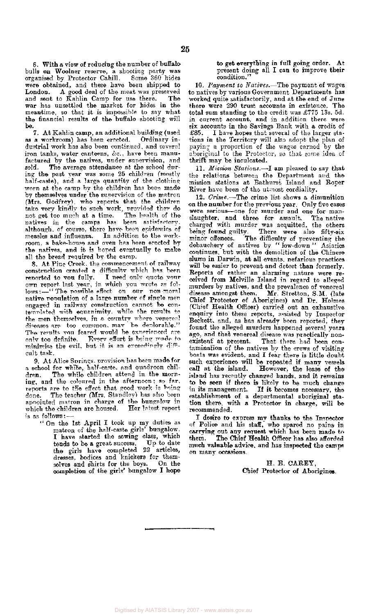6. With a view of reducing the number of buffalo bulls on Woolner reserve, a shooting party was organised by Protector Cahill. Some 360 hides were obtained, and these have been shipped to<br>London. A good deal of the meat was preserved A good deal of the meat was preserved and sent to Kahlin Camp for use there. The war has unsettled the market for hides in the meantime, so that it is impossible to say what the financial results of the buffalo shooting will be.

7. At Kahlin camp, an additional building (used<br>a workroom) has been erected. Ordinary inas a workroom) has been erected. dustrial work has also been continued, and several iron tanks, water canteens, &c , have been manufactured by the natives, under supervision, and sold. The average attendance at the school during the past year was some 25 children (mostly half-caste), and a large quantity of the clothing worn at the camp by the children has been made by themselves under the supervision of the matron (Mrs. Godfrey), who reports that the children take very kindly to such work, provided they do not get too much at a time. The health of the natives in the camps has been satisfactory. although, of course, there have been epidemics of measles and influenza. In addition to the workroom, a bake-house and oven has been erected by the natives, and it is hoped eventually to make all the bread required by the camp.

8. At Pine Creek, the commencement of railway construction created a difficulty which has been<br>reported to you fully. I need only quote your reported to you fully. own report last year, in which you wrote as follows:—"The possible effect on our non-moral native population of a large number of single men engaged in railway construction cannot be contemplated with equanimity, while the results to the men themselves, in a country where venereal diseases are too common, may be deplorable." The results- you feared would be experienced are<br>only too definite. Every effort is being made to Every effort is being made to minimise the evil, but it is an exceedingly difficult task.

9. At Alice Springs, provision has been made for a school for white, half-caste, and quadroon children. The while children attend in the morning, and the coloured in the afternoon; so far, reports are to the effect that good work is being done. The teacher (Mrs. Standley) has also been appointed matron in charge of the bungalow in<br>which the children are housed. Her latest report which the children are housed. is as follows:

" On the 1st April I took up my duties as matron of the half-caste girls' bungalow. I have started the sewing class, which tends to be a great success. Up to date the girls have completed 22 articles, dresses, bodices and knickers for themselves and shirts for the boys. completion of the girls' bungalow I hope

to get everything in full going order. At present doing all I can to improve their condition."

10. *Payment to Natives.*—The payment of wages to natives by various Government Departments has worked quite satisfactorily, and at the end of June there were 290 trust accounts in existence. The total sum standing to the credit was £775 13s. 5d. in current account, and in addition there were six accounts in the Savings Bank with a credit of £85. I have hopes that several of the larger stations in the Territory will also adopt the plan of paying a proportion of the wages earned by the aboriginal to the Protector, so that some idea of thrift may be inculcated.

11. Mission Stations.<sup>1</sup> am pleased to say that the relations between the Department and the mission stations at Bathurst Island and Roper River have been of the utmost cordiality.

12. *Crime.*—The crime list shows a dimunition on the number for the previous year. Only five cases were serious—one for murder and one for manslaughter, and three for assault. The native charged with murder was acquitted, the others being found guilty. There were also fifty-six minor offences. The difficulty of preventing the debauchery of natives by " low-down " Asiatics continues, but with the demolition of the Chinese slums in Darwin, at all events, nefarious practices will be easier to prevent and detect than formerly. Reports of rather an alarming nature were received from Melville Island in regard to alleged murders by natives, and the prevalence of venereal disease amongst them. Mr. Stretton, S.M. (late Chief Protector of Aborigines) and Dr. Holmes (Chief Health Officer) carried out an exhaustive enquiry into these reports, assisted by Inspector Beckett, and, as has already been reported, they found the alleged murders happened several years ago, and that venereal disease was practically nonexistent" at present. That there had been conexistent at present. That there had been con-<br>tamination of the natives by the crews of visiting boats was evident, and I fear there is little doubt such experience will be repeated if many vessels. call at the island. However, the lease of the island has recently changed hands, and it remains to be seen if there is likely to be much changed to be much changed to be much changed.  $\frac{1}{2}$  is management. It is becomes necessary, the  $\frac{1}{2}$  $\mu$  and  $\mu$  of a department of a departmental abort  $\mu$ . tion there, with a departmental aporiginal sta-<br>Constitution with a Protector in charge of the tion there, with a Protector in charge, will be recommended.

I desire to express my thanks to the Inspector of Police and his staff, who spared no pains in carrying out any request which has been made to them. The Chief Health Officer has also afforded much valuable advice, and has inspected the camps on many occasions.

> H. E. CAREY, Chief Protector of Aborigines.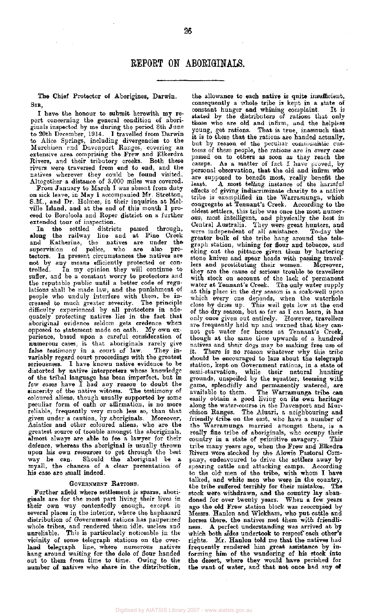The Chief Protector of Aborigines, Darwin. SIR,

I have the honour to submit herewith my report concerning the general condition of aboriginals inspected by me during the period 8th June to 20th December, 1914. I travelled from Darwin to Alice Springs, including divergencies to the Murchison and Davonport Ranges, covering an extensive area comprising the Frew and Elkerdra Rivers, and their tributory creeks. Both these rivers were traversed from end to end, and the natives wherever they could be found visited. Altogether a distance of 3,000 miles was covered.

From January to March I was absent from duty on sick leave, in May I accompanied Mr. Stretton, S.M., and Dr. Holmes, in their inquiries at Melville Island, and at the end of this month I proceed to Boroloola and Roper district on a further extended tour of inspection.

In the settled districts passed through, ong the railway line and at Pine Creek along the railway line and at Pine Creek and Katherine, the natives are under the supervision of police, who are also protectors. In present circumstances the natives are not by any means efficiently protected or controlled. In my opinion they will continue to suffer, and be a constant worry to protectors and the reputable public until a better code of regulations shall be made law, and the punishment of people who unduly interfere with them, be increased to much greater severity. The principle difficulty experienced by all protectors in adequately protecting natives lies in the fact that aboriginal evidence seldom gets credence when opposed to statement made on oath. My own experience, based upon a careful consideration of numerous cases, is that aboriginals rarely give false testimony in a court of law. They invariably regard court proceedings with the greatest seriousness. I have known native evidence to be distorted by native interpreters whose knowledge of the tribal language has been imperfect, but in few cases have I had any reason to doubt the sincerity of the native witness. The testimony of coloured aliens, though usually supported by some peculiar form of oath or affirmation, is no more reliable, frequently very much less so, than that given under a caution, by aboriginals. Moreover, Finally 1114 and the property of the coloured aliens, who are the Asiatics and other coloured aliens, who are the greatest source of trouble amongst the aboriginals, almost always are able to fee a lawyer for their defence, whereas the aboriginal is usually thrown upon his own resources to get through the best way he can. Should the aboriginal be a myall, the chances of a clear presentation of his case are small indeed.

### GOVERNMENT RATIONS.

Further afield where settlement is sparse, aboriginals are for the most part living their lives in their own way contentedly enough, except in several places in the interior, where the haphazard distribution of Government rations has pauperized whole tribes, and rendered them idle, useless and unreliable. This is particularly noticeable in the vicinity of some telegraph stations on the overland telegraph line, where numerous natives hang around waiting for the dole of flour handed out to them from time to time. Owing to the number of natives who share in the distribution,

the allowance to each native is quite insufficient, consequently a whole tribe is kept in a state of constant hunger and whining complaint. It is stated by the distributors of rations that only those who are old and infirm, and the helpless young, get rations. That is true, inasmuch that it is to these that the rations are handed actually, but by reason of the peculiar communistic customs of these people, the rations are in every case passed on to others as soon as they reach the camps. As a matter of fact I have proved, by personal observation, that the old and infirm who are supposed to benefit most, really benefit the least. A most telling instance of the harmful effects of giving indiscriminate charity to a native tribe is exemplified in the Warramunga, which congregate at Tennant's Creek. According to the oldest settlers, this tribe was once the most numerous, most intelligent, and physically the best in Central Australia. They were great hunters, and were independent of all assistance. To-day the greater bulk of the tribe hang around the telegraph station, whining for flour and tobacco, and eking out the pittance given them by bartering stone knives and spear heads with passing travellers and prostituting their women. Moreover, they are the cause of serious trouble to travellers with stock on account of the lack of permanent water at Tennant's Creek. The only water supply at this place in the dry season is a soak-well upon which every one depends, when the waterhole close by dries up. This well gets low at the end of the dry season, but so far as I can learn, it has only once given out entirely. However, travellers are frequently held up and warned that they cannot get water for horses at Tennant's Creek, though at the same time upwards of a hundred natives and their dogs may be making free use of it. There is no reason whatever why this tribe should be encouraged to laze about the telegraph station, kept on Government rations, in a state of semi-starvation, while their natural hunting grounds, unspoiled by the squatter, teeming with game, splendidly and permanently watered, are available to them. The Warramunga tribe can easily obtain a good living on its own heritage along the water-course in the Davenport and Murchison Ranges. The Aluari, a neighbouring and friendly tribe on the east, who have a number of the Warramunga married amongst them, is a really fine tribe of aboriginals, who occupy their country in a state of primitive savagery. This tribe many years ago, when the Frew and Elkedra Rivers were stocked by the Alowie Pastoral Company, endeavoured to drive the settlers away by spearing cattle and attacking camps. According to the old- men of the tribe, with whom I have talked, and white men who were in the country, the tribe suffered terribly for their mistakes. The stock were withdrawn, and the country lay abandoned for over twenty years. When a few years ago the old Frew station block was reoccupied by Messrs. Hanlon and Wickham, who put cattle and horses there, the natives met them with friendliness. A perfect understanding was arrived at by which both sides undertook to respect each other's rights. Mr. Hanlon told me that the natives had frequently rendered him great assistance by informing him of the wandering of his stock into the desert, where they would have perished for the want of water, and that not once had any of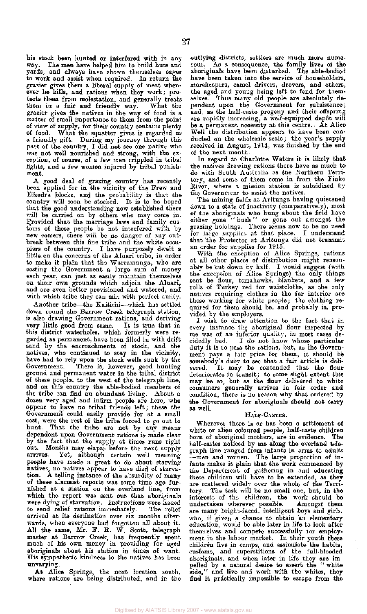his stock been hunted or interfered with in any way. The men have helped him to build huts and yards, and always have shown themselves eager to work and assist when required. In return the grazier gives them a liberal supply of meat whenever he kills, and rations when they work; protects them from molestation, and generally treats them in a fair and friendly way. What the grazier gives the natives in the way of food is a matter of small importance to them from the point of view of supply, for their country contains plenty of food. What the squatter gives is regarded as a friendly gift. During my journey through this part of the country, I did not see one native who was not well nourished and strong, with the exception, of course, of a few men crippled in tribal fights, and a few women injured by tribal punishment.

A good deal of grazing country has recently been applied for in the vicinity of the Frew and Elkedra blocks, and the probability is that the country will soon be stocked. It is to be hoped that the good understanding now established there will be carried on by others who may come in. Provided that the marriage laws and family customs of these people be not interfered with by new comers, there will be no danger of any cutbreak between this fine tribe and the white occupiers of the country. I have purposely dwelt a little on the concerns of the Aluari tribe, in order to make it plain that the Warramunga, who are costing the Government a large sum of money each year, can just as easily maintain themselves on their own grounds which adjoin the Aluari, and are even better provisioned and watered, and with which tribe they can mix with perfect amity.

Another tribe—the Kaitichi—which has settled down round the Barrow Creek telegraph station, is also drawing Government rations, and deriving very little good from same. It is true that in this district waterholes, which formerly were regarded as permanent, have been filled in with drift sand by the encroachments of stock, and the natives, who continued to stay in the vicinity, have had to rely upon the stock wells sunk by the Government. There is, however, good hunting ground and permanent water in the tribal district of these people, to the west of the telegraph line, and on this country the able-bodied members of the tribe can find an abundant living. About a dozen very aged and infirm people are here, who appear to have no tribal friends left; these the Government could easily provide for at a small cost, were the rest of the tribe forced to go out to hunt. That the tribe are not by any means dependent upon Government rations is made clear by the fact that the supply at times runs right out. Months may elapso before the next supply arrives. Yet, although certain well meaning people have made a great to do about starving natives, no natives appear to have died of starvation. A telling instance of the absurdity of many of these alarmist reports was some time ago furof these chainner reports was some once ago furnished at a station on the overland line, from<br>which the report was sent out that aboriginals which the report was some one ends aboriginals to and relief rations immediately. The relief to send relief rations immediately. The relief arrived at its destination over six months afterwards, when everyone had forgotten all about it. walus, when everyone had forgotten an about it.  $m_1$  at  $m_2$  at  $m_3$ ,  $m_4$ ,  $m_5$ ,  $m_6$ ,  $m_7$ ,  $m_8$ ,  $m_1$ ,  $m_1$ ,  $m_2$ ,  $m_1$ ,  $m_2$ ,  $m_3$ ,  $m_1$ muster at barrow Creek, has requently spent mach of his own money in providing for aged aboriginals about his station in times of want. His sympathetic kindness to the natives has been unvarying.

At Alice Springs, the next location south, where rations are being distributed, and in the

selves. Thus many old people are absolutely dependent upon the Government for subsistence; and, as the half-caste progeny and their offspring are rapidly increasing, a well-equipped depot will be a permanent necessity at this centre.. At Alice Well the distribution appears to have been conducted on the wholesale scale; the year's supply received in August, 1914, was finished by the end of the next month.

In regard to Charlotte Waters it is likely that the natives drawing rations there have as much to do with South Australia as the Northern Territory, and some of them come in from the Finke River, where a mission station is subsidized by the Government to assist the natives.

The mining fields at Arltunga having quietened down to a state of inactivity (comparatively), most of the aboriginals who hung about the field have either gone " bush " or gone out amongst the grazing holdings. There seems now to be no need for large supplies at that place. I understand that the Protector at Arltunga did not transmit an order for supplies for 1915.

With the exception of Alice Springs, rations at all other places of distribution might reasonably be cut down by half. I would suggest (with the exception of Alice Springs) the only things sent be flour, tomahawks, blankets, and a few rolls of Turkey red for waistcloths, as the only natives requiring clothes in the far interior are those working for white people; the clothing required for them should be, and probably is, provided by the employers.

I wish to draw attention to the fact that in every instance the aboriginal flour inspected by me was of an inferior quality, in most cases decidedly bad. I do not know whose particular duty it is to pass the rations, but, as the Government pays a fair price for them, it should be somebody's duty to see that a fair article is delivered. It may be contended that the flour deteriorates in transit; to some slight extent this may be so, but as the flour delivered to white consumers generally arrives in fair order and condition, there is no reason why that ordered by the Government for aboriginals should not carry as well.

### HALF-CASTES.

Wherever there is or has been a settlement of white or alien coloured people, half-caste children born of aboriginal mothers, are in evidence. The half-castes noticed by me along the overland telegraph line ranged from infants in arms to adults —men and women. The large proportion of infants makes it plain that the work commenced by the Department of gathering in and educating these children will have to be extended, as they are scattered widely over the whole of the Territory. The task will be no small one, but, in the interests of the children, the work should be undertaken wherever possible. Amongst them are many bright-faced, intelligent boys and girls, who, if given a chance to obtain an elementary education, would be able later in life to look after themselves and compete successfully tor employment in the labour market. In their youth these children live in camps, and assimilate the habits, customs, and superstitions of the full-blooded aboriginals, and when later in life they are impelled by a natural desire to assert the " white side," and live and work with the whites, they find it practically impossible to escape from the